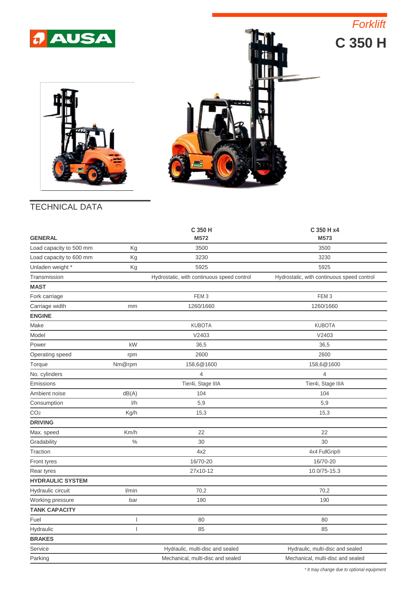





## TECHNICAL DATA

| <b>GENERAL</b>          |        | C 350 H<br>M572                            | C 350 H x4<br>M573                         |
|-------------------------|--------|--------------------------------------------|--------------------------------------------|
| Load capacity to 500 mm | Kg     | 3500                                       | 3500                                       |
| Load capacity to 600 mm | Kg     | 3230                                       | 3230                                       |
| Unladen weight *        | Kg     | 5925                                       | 5925                                       |
| Transmission            |        | Hydrostatic, with continuous speed control | Hydrostatic, with continuous speed control |
| <b>MAST</b>             |        |                                            |                                            |
| Fork carriage           |        | FEM <sub>3</sub>                           | FEM <sub>3</sub>                           |
| Carriage width          | mm     | 1260/1660                                  | 1260/1660                                  |
| <b>ENGINE</b>           |        |                                            |                                            |
| Make                    |        | <b>KUBOTA</b>                              | <b>KUBOTA</b>                              |
| Model                   |        | V2403                                      | V2403                                      |
| Power                   | kW     | 36,5                                       | 36,5                                       |
| Operating speed         | rpm    | 2600                                       | 2600                                       |
| Torque                  | Nm@rpm | 158,6@1600                                 | 158,6@1600                                 |
| No. cylinders           |        | 4                                          | $\overline{4}$                             |
| Emissions               |        | Tier4i, Stage IIIA                         | Tier4i, Stage IIIA                         |
| Ambient noise           | dB(A)  | 104                                        | 104                                        |
| Consumption             | 1/h    | 5,9                                        | 5,9                                        |
| CO <sub>2</sub>         | Kg/h   | 15,3                                       | 15,3                                       |
| <b>DRIVING</b>          |        |                                            |                                            |
| Max. speed              | Km/h   | 22                                         | 22                                         |
| Gradability             | $\%$   | 30                                         | 30                                         |
| Traction                |        | 4x2                                        | 4x4 FullGrip®                              |
| Front tyres             |        | 16/70-20                                   | 16/70-20                                   |
| Rear tyres              |        | 27x10-12                                   | 10.0/75-15.3                               |
| <b>HYDRAULIC SYSTEM</b> |        |                                            |                                            |
| Hydraulic circuit       | I/min  | 70,2                                       | 70,2                                       |
| Working pressure        | bar    | 190                                        | 190                                        |
| <b>TANK CAPACITY</b>    |        |                                            |                                            |
| Fuel                    | ı      | 80                                         | 80                                         |
| Hydraulic               | I      | 85                                         | 85                                         |
| <b>BRAKES</b>           |        |                                            |                                            |
| Service                 |        | Hydraulic, multi-disc and sealed           | Hydraulic, multi-disc and sealed           |
| Parking                 |        | Mechanical, multi-disc and sealed          | Mechanical, multi-disc and sealed          |

*\* It may change due to optional equipment*

*Forklift*

**C 350 H**